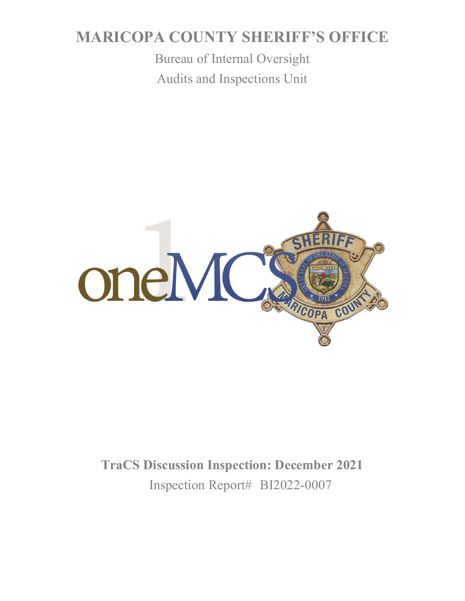## **MARICOPA COUNTY SHERIFF'S OFFICE**

Bureau of Internal Oversight Audits and Inspections Unit



# **TraCS Discussion Inspection: December 2021** Inspection Report# BI2022-0007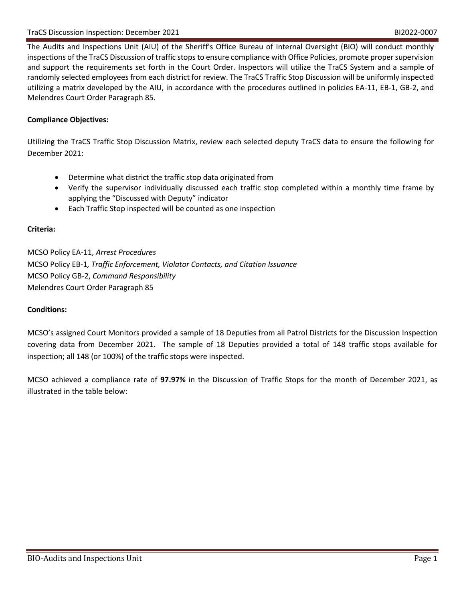The Audits and Inspections Unit (AIU) of the Sheriff's Office Bureau of Internal Oversight (BIO) will conduct monthly inspections of the TraCS Discussion of traffic stops to ensure compliance with Office Policies, promote proper supervision and support the requirements set forth in the Court Order. Inspectors will utilize the TraCS System and a sample of randomly selected employees from each district for review. The TraCS Traffic Stop Discussion will be uniformly inspected utilizing a matrix developed by the AIU, in accordance with the procedures outlined in policies EA-11, EB-1, GB-2, and Melendres Court Order Paragraph 85.

### **Compliance Objectives:**

Utilizing the TraCS Traffic Stop Discussion Matrix, review each selected deputy TraCS data to ensure the following for December 2021:

- Determine what district the traffic stop data originated from
- Verify the supervisor individually discussed each traffic stop completed within a monthly time frame by applying the "Discussed with Deputy" indicator
- Each Traffic Stop inspected will be counted as one inspection

#### **Criteria:**

MCSO Policy EA-11, *Arrest Procedures* MCSO Policy EB-1*, Traffic Enforcement, Violator Contacts, and Citation Issuance* MCSO Policy GB-2, *Command Responsibility* Melendres Court Order Paragraph 85

#### **Conditions:**

MCSO's assigned Court Monitors provided a sample of 18 Deputies from all Patrol Districts for the Discussion Inspection covering data from December 2021. The sample of 18 Deputies provided a total of 148 traffic stops available for inspection; all 148 (or 100%) of the traffic stops were inspected.

MCSO achieved a compliance rate of **97.97%** in the Discussion of Traffic Stops for the month of December 2021, as illustrated in the table below: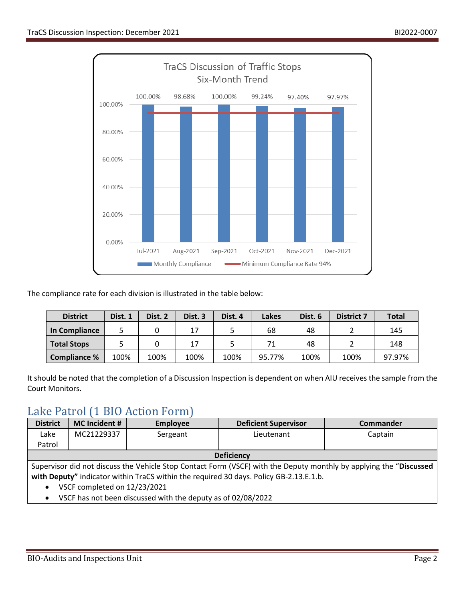

The compliance rate for each division is illustrated in the table below:

| <b>District</b>    | Dist. 1 | Dist. 2 | Dist. <sub>3</sub> | Dist. 4 | Lakes  | Dist. 6 | <b>District 7</b> | <b>Total</b> |
|--------------------|---------|---------|--------------------|---------|--------|---------|-------------------|--------------|
| In Compliance      |         |         | 17                 |         | 68     | 48      |                   | 145          |
| <b>Total Stops</b> |         |         | 17                 |         |        | 48      |                   | 148          |
| Compliance %       | 100%    | 100%    | 100%               | 100%    | 95.77% | 100%    | 100%              | 97.97%       |

It should be noted that the completion of a Discussion Inspection is dependent on when AIU receives the sample from the Court Monitors.

### Lake Patrol (1 BIO Action Form)

| <b>District</b>                                                                                                    | <b>MC</b> Incident #                                         | <b>Employee</b> | <b>Deficient Supervisor</b> | <b>Commander</b> |  |
|--------------------------------------------------------------------------------------------------------------------|--------------------------------------------------------------|-----------------|-----------------------------|------------------|--|
| Lake                                                                                                               | MC21229337                                                   | Sergeant        | Lieutenant                  | Captain          |  |
| Patrol                                                                                                             |                                                              |                 |                             |                  |  |
| <b>Deficiency</b>                                                                                                  |                                                              |                 |                             |                  |  |
| Supervisor did not discuss the Vehicle Stop Contact Form (VSCF) with the Deputy monthly by applying the "Discussed |                                                              |                 |                             |                  |  |
| with Deputy" indicator within TraCS within the required 30 days. Policy GB-2.13.E.1.b.                             |                                                              |                 |                             |                  |  |
| VSCF completed on 12/23/2021<br>$\bullet$                                                                          |                                                              |                 |                             |                  |  |
|                                                                                                                    | VSCF has not been discussed with the deputy as of 02/08/2022 |                 |                             |                  |  |